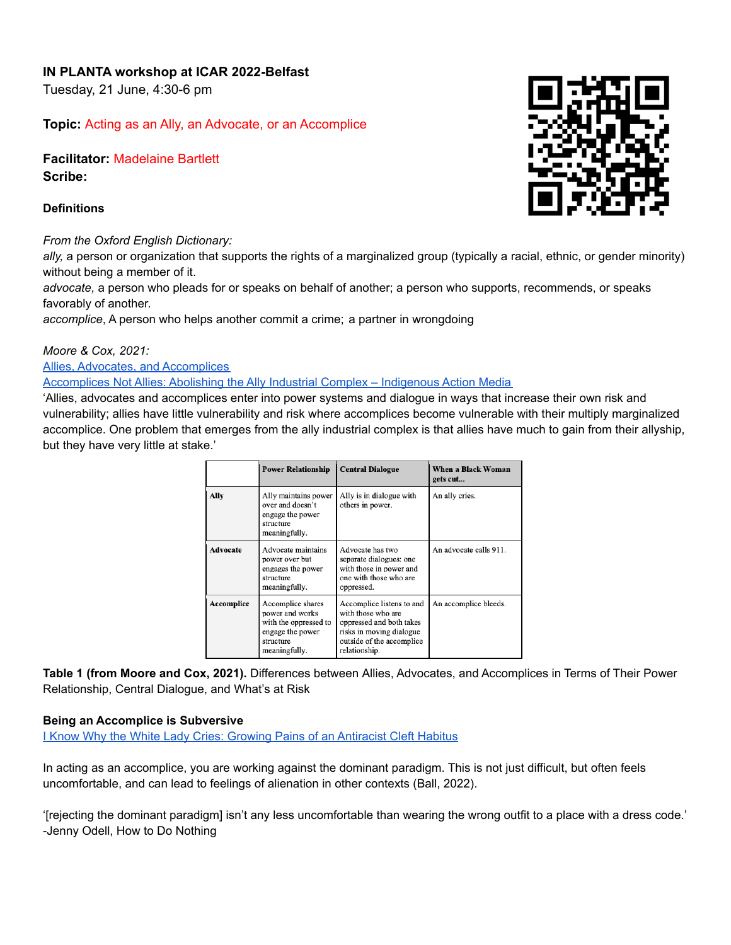# **IN PLANTA workshop at ICAR 2022-Belfast**

Tuesday, 21 June, 4:30-6 pm

**Topic:** Acting as an Ally, an Advocate, or an Accomplice

**Facilitator:** Madelaine Bartlett **Scribe:**

#### **Definitions**

## *From the Oxford English Dictionary:*

*ally,* a person or organization that supports the rights of a marginalized group (typically a racial, ethnic, or gender minority) without being a member of it.

*advocate,* a person who pleads for or speaks on behalf of another; a person who supports, recommends, or speaks favorably of another.

*accomplice*, A person who helps another commit a crime; a partner in wrongdoing

#### *[Moore](https://paperpile.com/c/eXJ42E/HjeE) & Cox, 2021:*

Allies, Advocates, and [Accomplices](https://peer.asee.org/allies-advocates-and-accomplices-a-critical-look-at-the-relationships-between-white-and-black-women-in-engineering-education)

[Accomplices](https://www.indigenousaction.org/accomplices-not-allies-abolishing-the-ally-industrial-complex/) Not Allies: Abolishing the Ally Industrial Complex – Indigenous Action Media

'Allies, advocates and accomplices enter into power systems and dialogue in ways that increase their own risk and vulnerability; allies have little vulnerability and risk where accomplices become vulnerable with their multiply marginalized accomplice. One problem that emerges from the ally industrial complex is that allies have much to gain from their allyship, but they have very little at stake.'

|            | <b>Power Relationship</b>                                                                                       | <b>Central Dialogue</b>                                                                                                                               | When a Black Woman<br>gets cut |
|------------|-----------------------------------------------------------------------------------------------------------------|-------------------------------------------------------------------------------------------------------------------------------------------------------|--------------------------------|
| Ally       | Ally maintains power<br>over and doesn't<br>engage the power<br>structure<br>meaningfully.                      | Ally is in dialogue with<br>others in power.                                                                                                          | An ally cries.                 |
| Advocate   | Advocate maintains<br>power over but<br>engages the power<br>structure<br>meaningfully.                         | Advocate has two<br>separate dialogues: one<br>with those in power and<br>one with those who are<br>oppressed.                                        | An advocate calls 911.         |
| Accomplice | Accomplice shares<br>power and works<br>with the oppressed to<br>engage the power<br>structure<br>meaningfully. | Accomplice listens to and<br>with those who are<br>oppressed and both takes<br>risks in moving dialogue<br>outside of the accomplice<br>relationship. | An accomplice bleeds.          |

**Table 1 (from Moore and Cox, 2021).** Differences between Allies, Advocates, and Accomplices in Terms of Their Power Relationship, Central Dialogue, and What's at Risk

## **Being an Accomplice is Subversive**

**I Know Why the White Lady Cries: Growing Pains of an [Antiracist](https://academic.oup.com/socpro/advance-article-abstract/doi/10.1093/socpro/spac025/6574720?redirectedFrom=fulltext) Cleft Habitus** 

In acting as an accomplice, you are working against the dominant paradigm. This is not just difficult, but often feels uncomfortable, and can lead to feelings of alienation in other contexts (Ball, [2022\)](https://paperpile.com/c/eXJ42E/b8rL).

'[rejecting the dominant paradigm] isn't any less uncomfortable than wearing the wrong outfit to a place with a dress code.' -Jenny Odell, How to Do Nothing